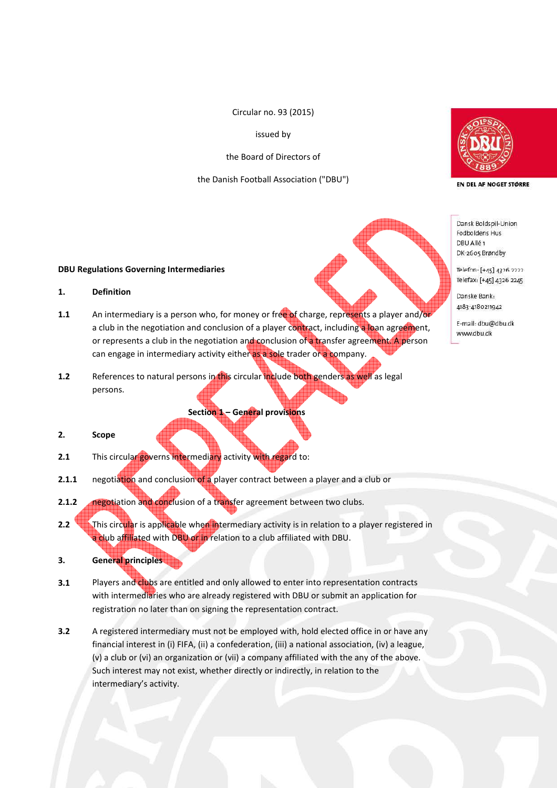Circular no. 93 (2015)

issued by

the Board of Directors of

the Danish Football Association ("DBU")



EN DEL AF NOGET STØRRE

Dansk Boldspil-Union Fodboldens Hus DBU Allé<sub>1</sub> DK-2605 Brøndby

Telefon: [+45] 4326 2222 Telefax: [+45] 4326 2245

Danske Bank-4183-4180211942

E-mail: dbu@dbu.dk www.dbu.dk

## **DBU Regulations Governing Intermediaries**

# **1. Definition**

- **1.1** An intermediary is a person who, for money or free of charge, represents a player and/or a club in the negotiation and conclusion of a player contract, including a loan agreement, or represents a club in the negotiation and conclusion of a transfer agreement. A person can engage in intermediary activity either as a sole trader or a company.
- **1.2** References to natural persons in this circular include both genders as well as legal persons.

## **Section 1 – General provisions**

# **2. Scope**

- **2.1** This circular governs intermediary activity with regard to:
- **2.1.1** negotiation and conclusion of a player contract between a player and a club or
- **2.1.2 negotiation and conclusion of a transfer agreement between two clubs.**
- **2.2** This circular is applicable when intermediary activity is in relation to a player registered in a club affiliated with DBU or in relation to a club affiliated with DBU.
- **3. General principles**
- **3.1** Players and clubs are entitled and only allowed to enter into representation contracts with intermediaries who are already registered with DBU or submit an application for registration no later than on signing the representation contract.
- **3.2** A registered intermediary must not be employed with, hold elected office in or have any financial interest in (i) FIFA, (ii) a confederation, (iii) a national association, (iv) a league, (v) a club or (vi) an organization or (vii) a company affiliated with the any of the above. Such interest may not exist, whether directly or indirectly, in relation to the intermediary's activity.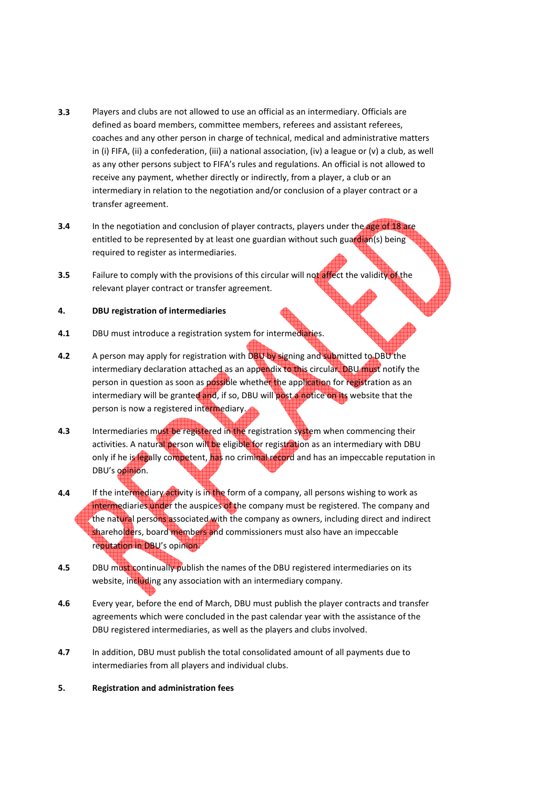- **3.3** Players and clubs are not allowed to use an official as an intermediary. Officials are defined as board members, committee members, referees and assistant referees, coaches and any other person in charge of technical, medical and administrative matters in (i) FIFA, (ii) a confederation, (iii) a national association, (iv) a league or (v) a club, as well as any other persons subject to FIFA's rules and regulations. An official is not allowed to receive any payment, whether directly or indirectly, from a player, a club or an intermediary in relation to the negotiation and/or conclusion of a player contract or a transfer agreement.
- **3.4** In the negotiation and conclusion of player contracts, players under the age of 18 are entitled to be represented by at least one guardian without such guardian(s) being required to register as intermediaries.
- **3.5** Failure to comply with the provisions of this circular will not affect the validity of the relevant player contract or transfer agreement.

# **4. DBU registration of intermediaries**

- **4.1** DBU must introduce a registration system for intermediaries.
- **4.2** A person may apply for registration with DBU by signing and submitted to DBU the intermediary declaration attached as an appendix to this circular. DBU must notify the person in question as soon as possible whether the application for registration as an intermediary will be granted and, if so, DBU will post a notice on its website that the person is now a registered intermediary.
- **4.3** Intermediaries must be registered in the registration system when commencing their activities. A natural person will be eligible for registration as an intermediary with DBU only if he is legally competent, has no criminal record and has an impeccable reputation in DBU's opinion.
- **4.4** If the intermediary activity is in the form of a company, all persons wishing to work as intermediaries under the auspices of the company must be registered. The company and the natural persons associated with the company as owners, including direct and indirect shareholders, board members and commissioners must also have an impeccable reputation in DBU's opinion.
- **4.5 DBU must continually publish the names of the DBU registered intermediaries on its** website, including any association with an intermediary company.
- **4.6** Every year, before the end of March, DBU must publish the player contracts and transfer agreements which were concluded in the past calendar year with the assistance of the DBU registered intermediaries, as well as the players and clubs involved.
- **4.7** In addition, DBU must publish the total consolidated amount of all payments due to intermediaries from all players and individual clubs.
- **5. Registration and administration fees**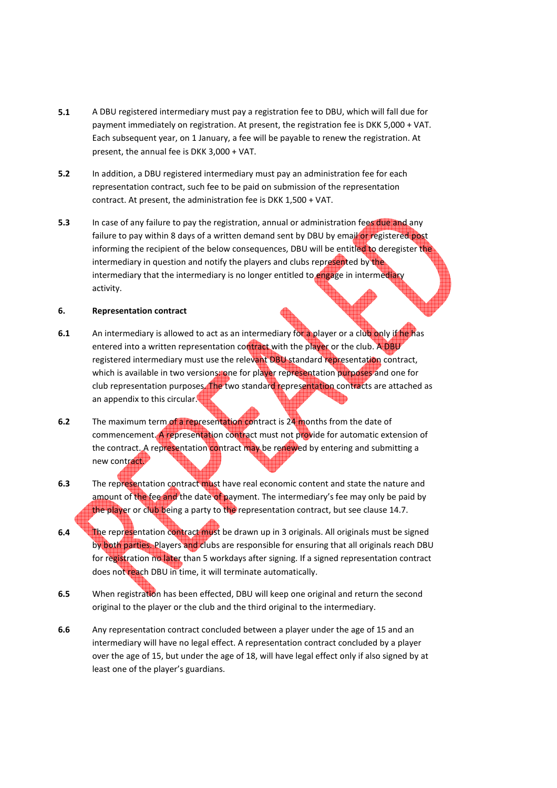- **5.1** A DBU registered intermediary must pay a registration fee to DBU, which will fall due for payment immediately on registration. At present, the registration fee is DKK 5,000 + VAT. Each subsequent year, on 1 January, a fee will be payable to renew the registration. At present, the annual fee is DKK 3,000 + VAT.
- **5.2** In addition, a DBU registered intermediary must pay an administration fee for each representation contract, such fee to be paid on submission of the representation contract. At present, the administration fee is DKK 1,500 + VAT.
- **5.3** In case of any failure to pay the registration, annual or administration fees due and any failure to pay within 8 days of a written demand sent by DBU by email or registered post informing the recipient of the below consequences, DBU will be entitled to deregister the intermediary in question and notify the players and clubs represented by the intermediary that the intermediary is no longer entitled to *engage* in intermediary activity.

### **6. Representation contract**

- **6.1** An intermediary is allowed to act as an intermediary for a player or a club only if he has entered into a written representation contract with the player or the club. A DBU registered intermediary must use the relevant DBU standard representation contract, which is available in two versions: one for player representation purposes and one for club representation purposes. The two standard representation contracts are attached as an appendix to this circular.
- **6.2** The maximum term of a representation contract is 24 months from the date of commencement. A representation contract must not provide for automatic extension of the contract. A representation contract may be renewed by entering and submitting a new contract.
- **6.3** The representation contract must have real economic content and state the nature and amount of the fee and the date of payment. The intermediary's fee may only be paid by the player or club being a party to the representation contract, but see clause 14.7.
- **6.4** The representation contract must be drawn up in 3 originals. All originals must be signed by both parties. Players and clubs are responsible for ensuring that all originals reach DBU for registration no later than 5 workdays after signing. If a signed representation contract does not reach DBU in time, it will terminate automatically.
- **6.5** When registration has been effected, DBU will keep one original and return the second original to the player or the club and the third original to the intermediary.
- **6.6** Any representation contract concluded between a player under the age of 15 and an intermediary will have no legal effect. A representation contract concluded by a player over the age of 15, but under the age of 18, will have legal effect only if also signed by at least one of the player's guardians.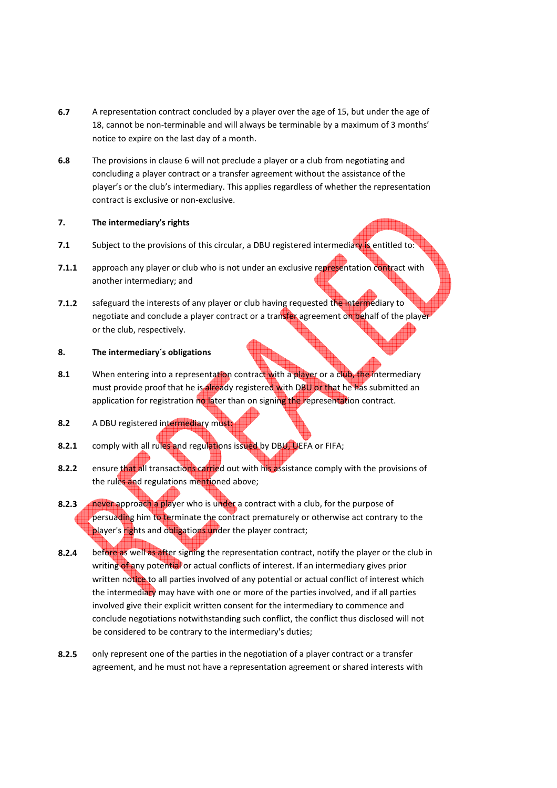- **6.7** A representation contract concluded by a player over the age of 15, but under the age of 18, cannot be non-terminable and will always be terminable by a maximum of 3 months' notice to expire on the last day of a month.
- **6.8** The provisions in clause 6 will not preclude a player or a club from negotiating and concluding a player contract or a transfer agreement without the assistance of the player's or the club's intermediary. This applies regardless of whether the representation contract is exclusive or non-exclusive.

## **7. The intermediary's rights**

- **7.1** Subject to the provisions of this circular, a DBU registered intermediary is entitled to:
- **7.1.1** approach any player or club who is not under an exclusive representation contract with another intermediary; and
- **7.1.2** safeguard the interests of any player or club having requested the intermediary to negotiate and conclude a player contract or a transfer agreement on behalf of the player or the club, respectively.

# **8. The intermediary´s obligations**

- **8.1** When entering into a representation contract with a player or a club, the intermediary must provide proof that he is already registered with DBU or that he has submitted an application for registration no later than on signing the representation contract.
- **8.2** A DBU registered intermediary must:
- **8.2.1** comply with all rules and regulations issued by DBU, UEFA or FIFA;
- **8.2.2** ensure that all transactions carried out with his assistance comply with the provisions of the rules and regulations mentioned above;
- **8.2.3 never approach a player who is under a contract with a club, for the purpose of** persuading him to terminate the contract prematurely or otherwise act contrary to the player's rights and obligations under the player contract;
- **8.2.4** before as well as after signing the representation contract, notify the player or the club in writing of any potential or actual conflicts of interest. If an intermediary gives prior written notice to all parties involved of any potential or actual conflict of interest which the intermediary may have with one or more of the parties involved, and if all parties involved give their explicit written consent for the intermediary to commence and conclude negotiations notwithstanding such conflict, the conflict thus disclosed will not be considered to be contrary to the intermediary's duties;
- **8.2.5** only represent one of the parties in the negotiation of a player contract or a transfer agreement, and he must not have a representation agreement or shared interests with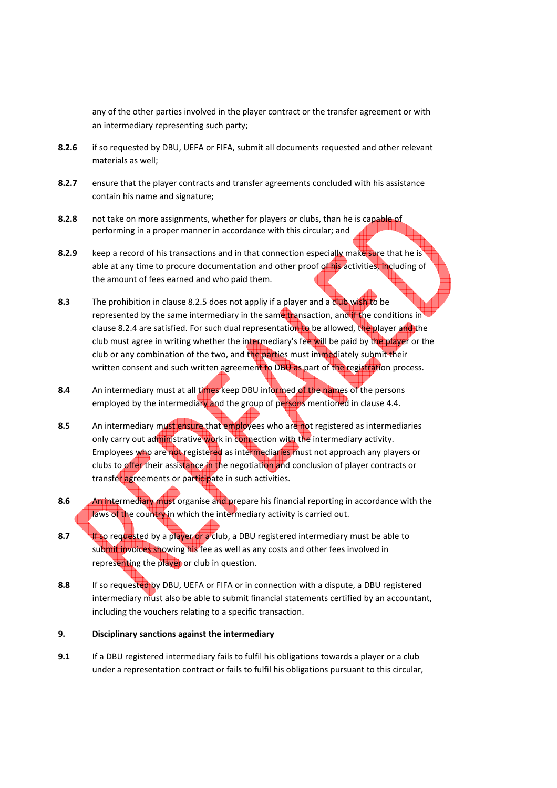any of the other parties involved in the player contract or the transfer agreement or with an intermediary representing such party;

- **8.2.6** if so requested by DBU, UEFA or FIFA, submit all documents requested and other relevant materials as well;
- **8.2.7** ensure that the player contracts and transfer agreements concluded with his assistance contain his name and signature;
- **8.2.8** not take on more assignments, whether for players or clubs, than he is capable of performing in a proper manner in accordance with this circular; and
- 8.2.9 **Reep a record of his transactions and in that connection especially make sure that he is** able at any time to procure documentation and other proof of his activities, including of the amount of fees earned and who paid them.
- **8.3** The prohibition in clause 8.2.5 does not appliy if a player and a club wish to be represented by the same intermediary in the same transaction, and if the conditions in clause 8.2.4 are satisfied. For such dual representation to be allowed, the player and the club must agree in writing whether the intermediary's fee will be paid by the player or the club or any combination of the two, and the parties must immediately submit their written consent and such written agreement to DBU as part of the registration process.
- **8.4** An intermediary must at all times keep DBU informed of the names of the persons employed by the intermediary and the group of persons mentioned in clause 4.4.
- **8.5** An intermediary must ensure that employees who are not registered as intermediaries only carry out administrative work in connection with the intermediary activity. Employees who are not registered as intermediaries must not approach any players or clubs to offer their assistance in the negotiation and conclusion of player contracts or transfer agreements or participate in such activities.
- **8.6** An intermediary must organise and prepare his financial reporting in accordance with the laws of the country in which the intermediary activity is carried out.
- **8.7 If so requested by a player or a** club, a DBU registered intermediary must be able to submit invoices showing his fee as well as any costs and other fees involved in representing the player or club in question.
- **8.8** If so requested by DBU, UEFA or FIFA or in connection with a dispute, a DBU registered intermediary must also be able to submit financial statements certified by an accountant, including the vouchers relating to a specific transaction.

# **9. Disciplinary sanctions against the intermediary**

**9.1** If a DBU registered intermediary fails to fulfil his obligations towards a player or a club under a representation contract or fails to fulfil his obligations pursuant to this circular,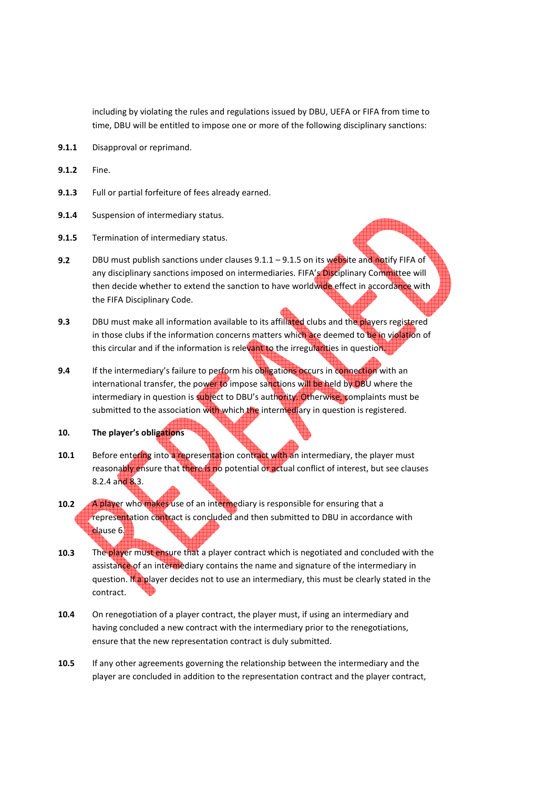including by violating the rules and regulations issued by DBU, UEFA or FIFA from time to time, DBU will be entitled to impose one or more of the following disciplinary sanctions:

- **9.1.1** Disapproval or reprimand.
- **9.1.2** Fine.
- **9.1.3** Full or partial forfeiture of fees already earned.
- **9.1.4** Suspension of intermediary status.
- **9.1.5** Termination of intermediary status.
- **9.2** DBU must publish sanctions under clauses 9.1.1 9.1.5 on its website and notify FIFA of any disciplinary sanctions imposed on intermediaries. FIFA's Disciplinary Committee will then decide whether to extend the sanction to have worldwide effect in accordance with the FIFA Disciplinary Code.
- **9.3** DBU must make all information available to its affiliated clubs and the players registered in those clubs if the information concerns matters which are deemed to be in violation of this circular and if the information is relevant to the irregularities in question.
- **9.4** If the intermediary's failure to perform his obligations occurs in connection with an international transfer, the power to impose sanctions will be held by DBU where the intermediary in question is subject to DBU's authority. Otherwise, complaints must be submitted to the association with which the intermediary in question is registered.
- **10. The player's obligations**
- **10.1** Before entering into a representation contract with an intermediary, the player must reasonably ensure that there is no potential or actual conflict of interest, but see clauses 8.2.4 and 8.3.
- **10.2** A player who makes use of an intermediary is responsible for ensuring that a representation contract is concluded and then submitted to DBU in accordance with clause 6.
- **10.3** The player must ensure that a player contract which is negotiated and concluded with the assistance of an intermediary contains the name and signature of the intermediary in question. If a player decides not to use an intermediary, this must be clearly stated in the contract.
- **10.4** On renegotiation of a player contract, the player must, if using an intermediary and having concluded a new contract with the intermediary prior to the renegotiations, ensure that the new representation contract is duly submitted.
- **10.5** If any other agreements governing the relationship between the intermediary and the player are concluded in addition to the representation contract and the player contract,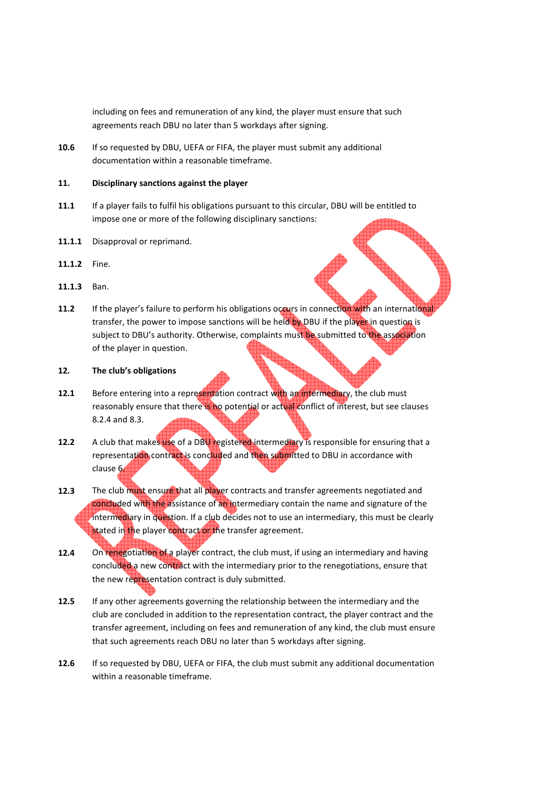including on fees and remuneration of any kind, the player must ensure that such agreements reach DBU no later than 5 workdays after signing.

**10.6** If so requested by DBU, UEFA or FIFA, the player must submit any additional documentation within a reasonable timeframe.

### **11. Disciplinary sanctions against the player**

- **11.1** If a player fails to fulfil his obligations pursuant to this circular, DBU will be entitled to impose one or more of the following disciplinary sanctions:
- **11.1.1** Disapproval or reprimand.
- **11.1.2** Fine.
- **11.1.3** Ban.
- **11.2** If the player's failure to perform his obligations occurs in connection with an international transfer, the power to impose sanctions will be held by DBU if the player in question is subject to DBU's authority. Otherwise, complaints must be submitted to the association of the player in question.
- **12. The club's obligations**
- **12.1** Before entering into a representation contract with an intermediary, the club must reasonably ensure that there is no potential or actual conflict of interest, but see clauses 8.2.4 and 8.3.
- 12.2 A club that makes use of a DBU registered intermediary is responsible for ensuring that a representation contract is concluded and then submitted to DBU in accordance with clause 6.
- **12.3** The club must ensure that all player contracts and transfer agreements negotiated and concluded with the assistance of an intermediary contain the name and signature of the intermediary in question. If a club decides not to use an intermediary, this must be clearly stated in the player contract or the transfer agreement.
- **12.4** On renegotiation of a player contract, the club must, if using an intermediary and having concluded a new contract with the intermediary prior to the renegotiations, ensure that the new representation contract is duly submitted.
- **12.5** If any other agreements governing the relationship between the intermediary and the club are concluded in addition to the representation contract, the player contract and the transfer agreement, including on fees and remuneration of any kind, the club must ensure that such agreements reach DBU no later than 5 workdays after signing.
- **12.6** If so requested by DBU, UEFA or FIFA, the club must submit any additional documentation within a reasonable timeframe.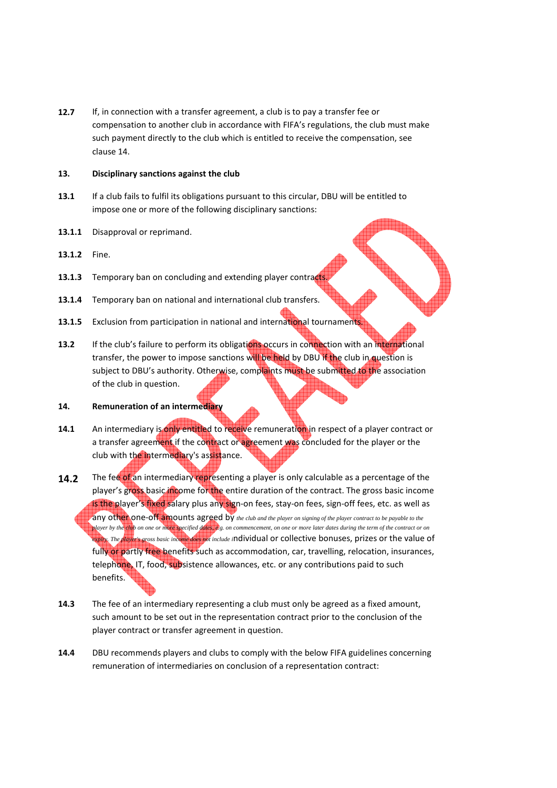**12.7** If, in connection with a transfer agreement, a club is to pay a transfer fee or compensation to another club in accordance with FIFA's regulations, the club must make such payment directly to the club which is entitled to receive the compensation, see clause 14.

## **13. Disciplinary sanctions against the club**

- **13.1** If a club fails to fulfil its obligations pursuant to this circular, DBU will be entitled to impose one or more of the following disciplinary sanctions:
- **13.1.1** Disapproval or reprimand.
- **13.1.2** Fine.
- 13.1.3 Temporary ban on concluding and extending player contracts.
- **13.1.4** Temporary ban on national and international club transfers.
- **13.1.5** Exclusion from participation in national and international tournaments.
- **13.2** If the club's failure to perform its obligations occurs in connection with an international transfer, the power to impose sanctions will be held by DBU if the club in question is subject to DBU's authority. Otherwise, complaints must be submitted to the association of the club in question.

### **14. Remuneration of an intermediary**

- **14.1** An intermediary is only entitled to receive remuneration in respect of a player contract or a transfer agreement if the contract or agreement was concluded for the player or the club with the intermediary's assistance.
- **14.2** The fee of an intermediary representing a player is only calculable as a percentage of the player's gross basic income for the entire duration of the contract. The gross basic income is the player's fixed salary plus any sign-on fees, stay-on fees, sign-off fees, etc. as well as any other one-off amounts agreed by *the club and the player on signing of the player contract to be payable to the player by the club on one or more specified dates, e.g. on commencement, on one or more later dates during the term of the contract or on expiry. The player's gross basic income does not include i*ndividual or collective bonuses, prizes or the value of fully or partly free benefits such as accommodation, car, travelling, relocation, insurances, telephone, IT, food, subsistence allowances, etc. or any contributions paid to such benefits.
- **14.3** The fee of an intermediary representing a club must only be agreed as a fixed amount, such amount to be set out in the representation contract prior to the conclusion of the player contract or transfer agreement in question.
- **14.4** DBU recommends players and clubs to comply with the below FIFA guidelines concerning remuneration of intermediaries on conclusion of a representation contract: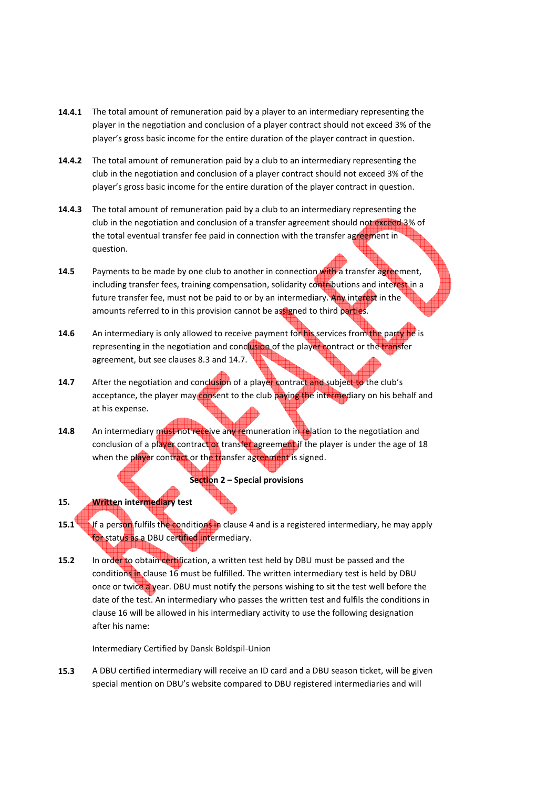- **14.4.1** The total amount of remuneration paid by a player to an intermediary representing the player in the negotiation and conclusion of a player contract should not exceed 3% of the player's gross basic income for the entire duration of the player contract in question.
- **14.4.2** The total amount of remuneration paid by a club to an intermediary representing the club in the negotiation and conclusion of a player contract should not exceed 3% of the player's gross basic income for the entire duration of the player contract in question.
- **14.4.3** The total amount of remuneration paid by a club to an intermediary representing the club in the negotiation and conclusion of a transfer agreement should not exceed 3% of the total eventual transfer fee paid in connection with the transfer agreement in question.
- **14.5** Payments to be made by one club to another in connection with a transfer agreement, including transfer fees, training compensation, solidarity contributions and interest in a future transfer fee, must not be paid to or by an intermediary. Any interest in the amounts referred to in this provision cannot be assigned to third parties.
- **14.6** An intermediary is only allowed to receive payment for his services from the party he is representing in the negotiation and conclusion of the player contract or the transfer agreement, but see clauses 8.3 and 14.7.
- **14.7** After the negotiation and conclusion of a player contract and subject to the club's acceptance, the player may consent to the club paying the intermediary on his behalf and at his expense.
- **14.8** An intermediary must not receive any remuneration in relation to the negotiation and conclusion of a player contract or transfer agreement if the player is under the age of 18 when the player contract or the transfer agreement is signed.

## **Section 2 – Special provisions**

# **15. Written intermediary test**

- **15.1** If a person fulfils the conditions in clause 4 and is a registered intermediary, he may apply for status as a DBU certified intermediary.
- **15.2** In order to obtain certification, a written test held by DBU must be passed and the conditions in clause 16 must be fulfilled. The written intermediary test is held by DBU once or twice a year. DBU must notify the persons wishing to sit the test well before the date of the test. An intermediary who passes the written test and fulfils the conditions in clause 16 will be allowed in his intermediary activity to use the following designation after his name:

Intermediary Certified by Dansk Boldspil-Union

**15.3** A DBU certified intermediary will receive an ID card and a DBU season ticket, will be given special mention on DBU's website compared to DBU registered intermediaries and will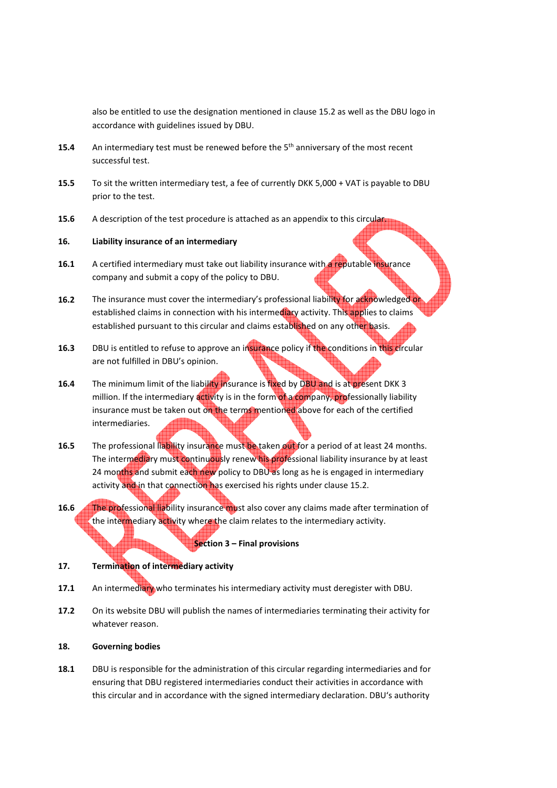also be entitled to use the designation mentioned in clause 15.2 as well as the DBU logo in accordance with guidelines issued by DBU.

- **15.4** An intermediary test must be renewed before the 5<sup>th</sup> anniversary of the most recent successful test.
- **15.5** To sit the written intermediary test, a fee of currently DKK 5,000 + VAT is payable to DBU prior to the test.
- **15.6** A description of the test procedure is attached as an appendix to this circular.

## **16. Liability insurance of an intermediary**

- **16.1** A certified intermediary must take out liability insurance with a reputable insurance company and submit a copy of the policy to DBU.
- **16.2** The insurance must cover the intermediary's professional liability for acknowledged or established claims in connection with his intermediary activity. This applies to claims established pursuant to this circular and claims established on any other basis.
- **16.3** DBU is entitled to refuse to approve an insurance policy if the conditions in this circular are not fulfilled in DBU's opinion.
- **16.4** The minimum limit of the liability insurance is fixed by DBU and is at present DKK 3 million. If the intermediary activity is in the form of a company, professionally liability insurance must be taken out on the terms mentioned above for each of the certified intermediaries.
- **16.5** The professional liability insurance must be taken out for a period of at least 24 months. The intermediary must continuously renew his professional liability insurance by at least 24 months and submit each new policy to DBU as long as he is engaged in intermediary activity and in that connection has exercised his rights under clause 15.2.
- **16.6** The professional liability insurance must also cover any claims made after termination of the intermediary activity where the claim relates to the intermediary activity.

#### **Section 3 – Final provisions**

# **17. Termination of intermediary activity**

- **17.1** An intermediary who terminates his intermediary activity must deregister with DBU.
- **17.2** On its website DBU will publish the names of intermediaries terminating their activity for whatever reason.

#### **18. Governing bodies**

18.1 DBU is responsible for the administration of this circular regarding intermediaries and for ensuring that DBU registered intermediaries conduct their activities in accordance with this circular and in accordance with the signed intermediary declaration. DBU's authority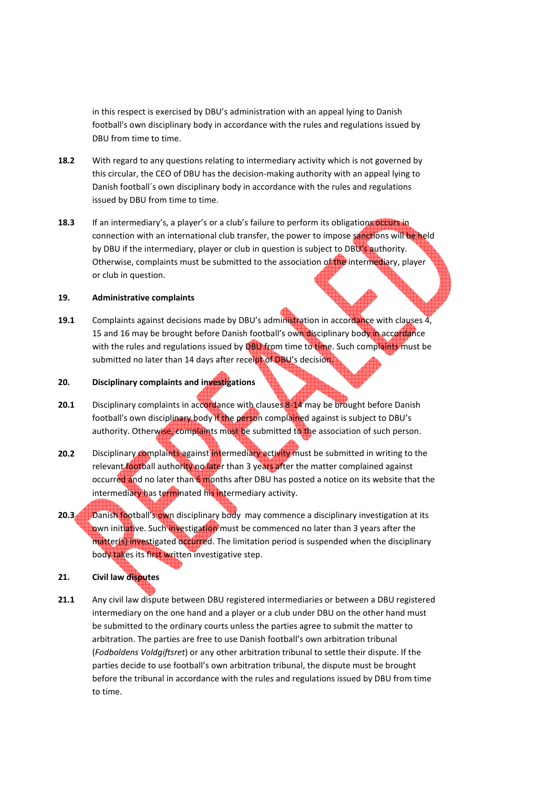in this respect is exercised by DBU's administration with an appeal lying to Danish football's own disciplinary body in accordance with the rules and regulations issued by DBU from time to time.

- **18.2** With regard to any questions relating to intermediary activity which is not governed by this circular, the CEO of DBU has the decision-making authority with an appeal lying to Danish football´s own disciplinary body in accordance with the rules and regulations issued by DBU from time to time.
- **18.3** If an intermediary's, a player's or a club's failure to perform its obligations occurs in connection with an international club transfer, the power to impose sanctions will be held by DBU if the intermediary, player or club in question is subject to DBU's authority. Otherwise, complaints must be submitted to the association of the intermediary, player or club in question.

## **19. Administrative complaints**

**19.1** Complaints against decisions made by DBU's administration in accordance with clauses 4, 15 and 16 may be brought before Danish football's own disciplinary body in accordance with the rules and regulations issued by DBU from time to time. Such complaints must be submitted no later than 14 days after receipt of DBU's decision.

# **20. Disciplinary complaints and investigations**

- **20.1** Disciplinary complaints in accordance with clauses 8-14 may be brought before Danish football's own disciplinary body if the person complained against is subject to DBU's authority. Otherwise, complaints must be submitted to the association of such person.
- **20.2** Disciplinary complaints against intermediary activity must be submitted in writing to the relevant football authority no later than 3 years after the matter complained against occurred and no later than 6 months after DBU has posted a notice on its website that the intermediary has terminated his intermediary activity.
- **20.3** Danish football's own disciplinary body may commence a disciplinary investigation at its own initiative. Such investigation must be commenced no later than 3 years after the matter(s) investigated occurred. The limitation period is suspended when the disciplinary body takes its first written investigative step.

# **21. Civil law disputes**

**21.1** Any civil law dispute between DBU registered intermediaries or between a DBU registered intermediary on the one hand and a player or a club under DBU on the other hand must be submitted to the ordinary courts unless the parties agree to submit the matter to arbitration. The parties are free to use Danish football's own arbitration tribunal (*Fodboldens Voldgiftsret*) or any other arbitration tribunal to settle their dispute. If the parties decide to use football's own arbitration tribunal, the dispute must be brought before the tribunal in accordance with the rules and regulations issued by DBU from time to time.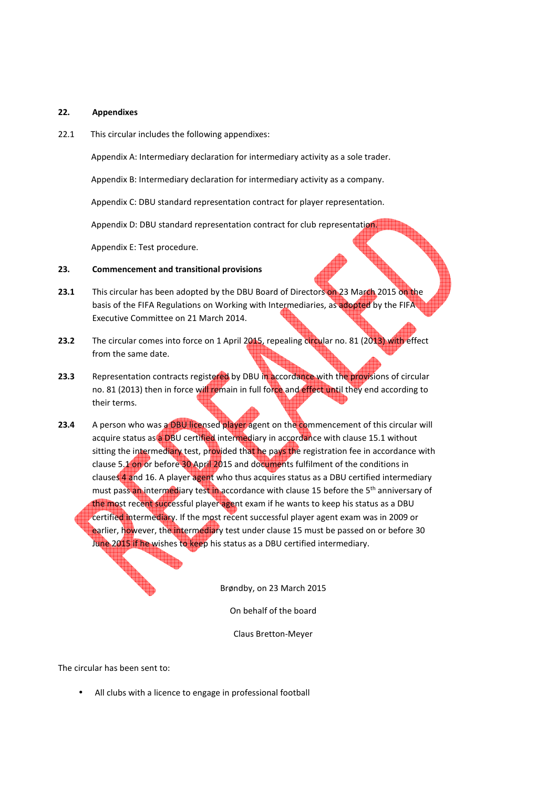#### **22. Appendixes**

22.1 This circular includes the following appendixes:

Appendix A: Intermediary declaration for intermediary activity as a sole trader.

Appendix B: Intermediary declaration for intermediary activity as a company.

Appendix C: DBU standard representation contract for player representation.

Appendix D: DBU standard representation contract for club representation.

Appendix E: Test procedure.

## **23. Commencement and transitional provisions**

- **23.1** This circular has been adopted by the DBU Board of Directors on 23 March 2015 on the basis of the FIFA Regulations on Working with Intermediaries, as adopted by the FIFA Executive Committee on 21 March 2014.
- **23.2** The circular comes into force on 1 April 2015, repealing circular no. 81 (2013) with effect from the same date.
- 23.3 Representation contracts registered by DBU in accordance with the provisions of circular no. 81 (2013) then in force will remain in full force and effect until they end according to their terms.
- **23.4** A person who was a DBU licensed player agent on the commencement of this circular will acquire status as a DBU certified intermediary in accordance with clause 15.1 without sitting the intermediary test, provided that he pays the registration fee in accordance with clause 5.1 on or before 30 April 2015 and documents fulfilment of the conditions in clauses 4 and 16. A player agent who thus acquires status as a DBU certified intermediary must pass an intermediary test in accordance with clause 15 before the 5<sup>th</sup> anniversary of the most recent successful player agent exam if he wants to keep his status as a DBU certified intermediary. If the most recent successful player agent exam was in 2009 or earlier, however, the intermediary test under clause 15 must be passed on or before 30 June 2015 if he wishes to keep his status as a DBU certified intermediary.

Brøndby, on 23 March 2015

On behalf of the board

Claus Bretton-Meyer

The circular has been sent to:

All clubs with a licence to engage in professional football